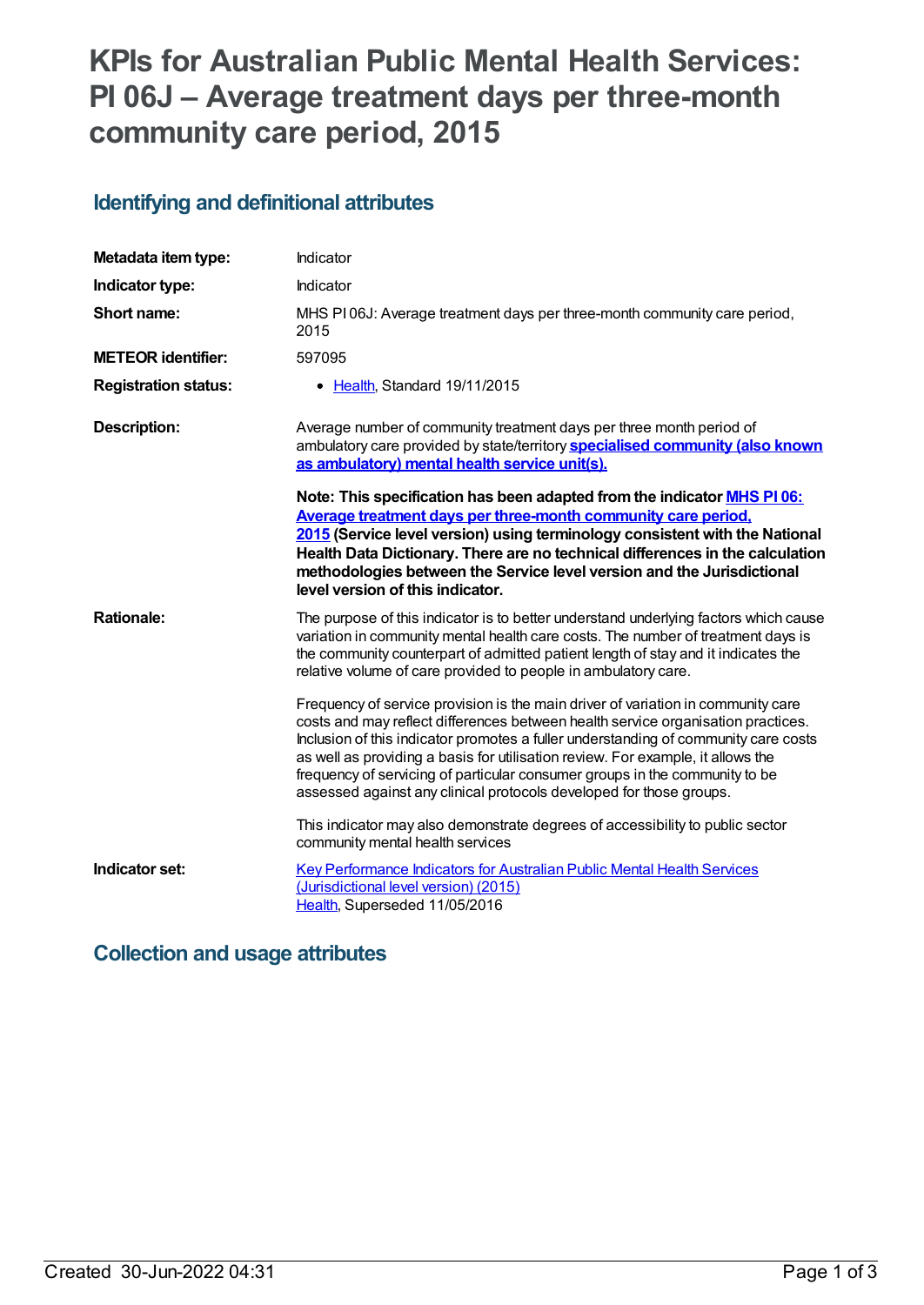# **KPIs for Australian Public Mental Health Services: PI 06J – Average treatment days per three-month community care period, 2015**

### **Identifying and definitional attributes**

| Metadata item type:         | Indicator                                                                                                                                                                                                                                                                                                                                                                                                                                                                                            |
|-----------------------------|------------------------------------------------------------------------------------------------------------------------------------------------------------------------------------------------------------------------------------------------------------------------------------------------------------------------------------------------------------------------------------------------------------------------------------------------------------------------------------------------------|
| Indicator type:             | Indicator                                                                                                                                                                                                                                                                                                                                                                                                                                                                                            |
| Short name:                 | MHS PI06J: Average treatment days per three-month community care period,<br>2015                                                                                                                                                                                                                                                                                                                                                                                                                     |
| <b>METEOR identifier:</b>   | 597095                                                                                                                                                                                                                                                                                                                                                                                                                                                                                               |
| <b>Registration status:</b> | • Health, Standard 19/11/2015                                                                                                                                                                                                                                                                                                                                                                                                                                                                        |
| <b>Description:</b>         | Average number of community treatment days per three month period of<br>ambulatory care provided by state/territory specialised community (also known<br>as ambulatory) mental health service unit(s).                                                                                                                                                                                                                                                                                               |
|                             | Note: This specification has been adapted from the indicator MHS PI 06:<br>Average treatment days per three-month community care period,<br>2015 (Service level version) using terminology consistent with the National<br>Health Data Dictionary. There are no technical differences in the calculation<br>methodologies between the Service level version and the Jurisdictional<br>level version of this indicator.                                                                               |
| <b>Rationale:</b>           | The purpose of this indicator is to better understand underlying factors which cause<br>variation in community mental health care costs. The number of treatment days is<br>the community counterpart of admitted patient length of stay and it indicates the<br>relative volume of care provided to people in ambulatory care.                                                                                                                                                                      |
|                             | Frequency of service provision is the main driver of variation in community care<br>costs and may reflect differences between health service organisation practices.<br>Inclusion of this indicator promotes a fuller understanding of community care costs<br>as well as providing a basis for utilisation review. For example, it allows the<br>frequency of servicing of particular consumer groups in the community to be<br>assessed against any clinical protocols developed for those groups. |
|                             | This indicator may also demonstrate degrees of accessibility to public sector<br>community mental health services                                                                                                                                                                                                                                                                                                                                                                                    |
| Indicator set:              | <b>Key Performance Indicators for Australian Public Mental Health Services</b><br>(Jurisdictional level version) (2015)<br>Health, Superseded 11/05/2016                                                                                                                                                                                                                                                                                                                                             |

### **Collection and usage attributes**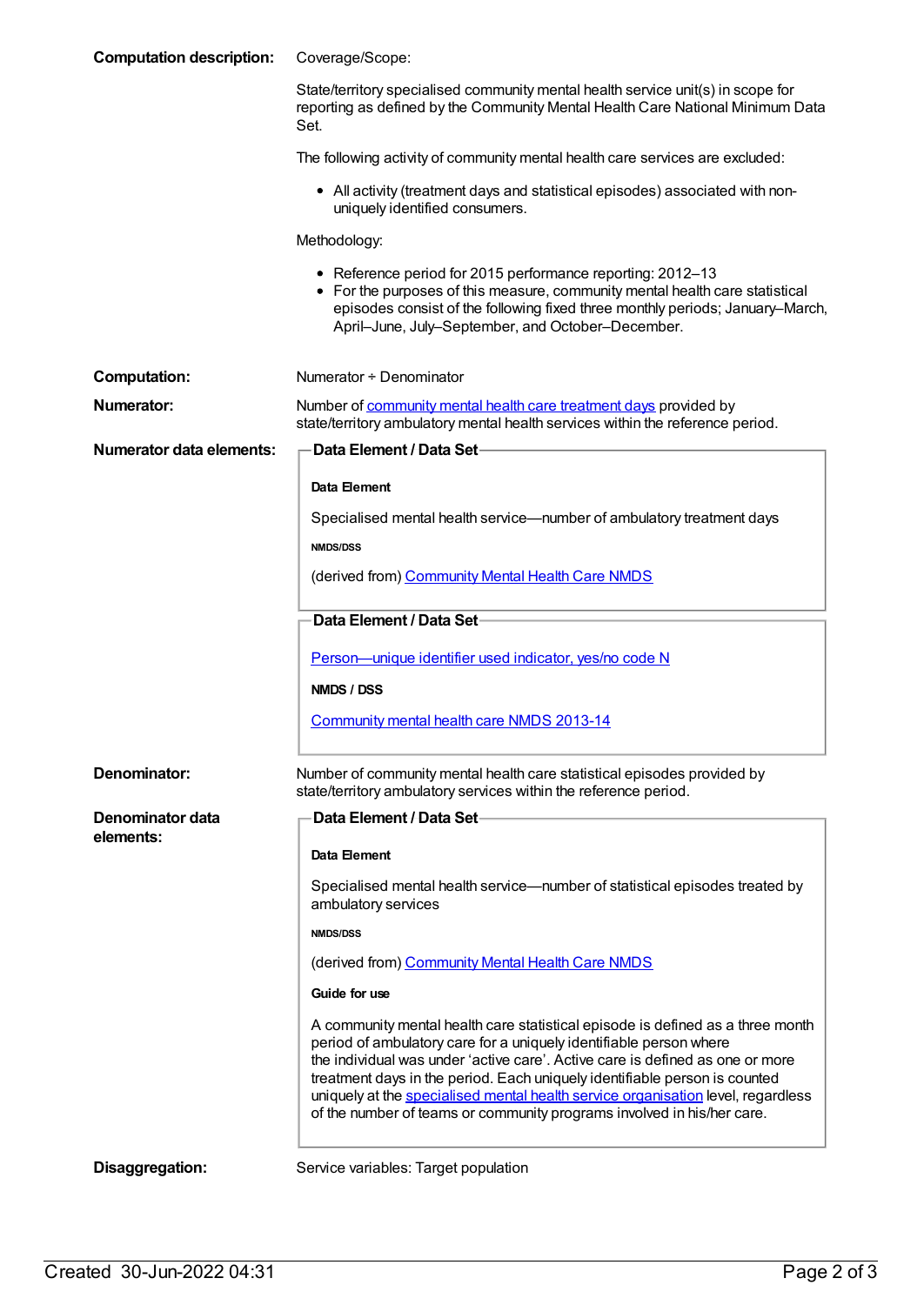| <b>Computation description:</b> | Coverage/Scope:                                                                                                                                                                                                                                                                                                                                                                                                                                                                   |
|---------------------------------|-----------------------------------------------------------------------------------------------------------------------------------------------------------------------------------------------------------------------------------------------------------------------------------------------------------------------------------------------------------------------------------------------------------------------------------------------------------------------------------|
|                                 | State/territory specialised community mental health service unit(s) in scope for<br>reporting as defined by the Community Mental Health Care National Minimum Data<br>Set.                                                                                                                                                                                                                                                                                                        |
|                                 | The following activity of community mental health care services are excluded:                                                                                                                                                                                                                                                                                                                                                                                                     |
|                                 | • All activity (treatment days and statistical episodes) associated with non-<br>uniquely identified consumers.                                                                                                                                                                                                                                                                                                                                                                   |
|                                 | Methodology:                                                                                                                                                                                                                                                                                                                                                                                                                                                                      |
|                                 | • Reference period for 2015 performance reporting: 2012-13<br>• For the purposes of this measure, community mental health care statistical<br>episodes consist of the following fixed three monthly periods; January-March,<br>April-June, July-September, and October-December.                                                                                                                                                                                                  |
| <b>Computation:</b>             | Numerator + Denominator                                                                                                                                                                                                                                                                                                                                                                                                                                                           |
| Numerator:                      | Number of community mental health care treatment days provided by<br>state/territory ambulatory mental health services within the reference period.                                                                                                                                                                                                                                                                                                                               |
| <b>Numerator data elements:</b> | Data Element / Data Set-                                                                                                                                                                                                                                                                                                                                                                                                                                                          |
|                                 | Data Element                                                                                                                                                                                                                                                                                                                                                                                                                                                                      |
|                                 | Specialised mental health service—number of ambulatory treatment days                                                                                                                                                                                                                                                                                                                                                                                                             |
|                                 | <b>NMDS/DSS</b>                                                                                                                                                                                                                                                                                                                                                                                                                                                                   |
|                                 | (derived from) Community Mental Health Care NMDS                                                                                                                                                                                                                                                                                                                                                                                                                                  |
|                                 | Data Element / Data Set-                                                                                                                                                                                                                                                                                                                                                                                                                                                          |
|                                 | Person-unique identifier used indicator, yes/no code N                                                                                                                                                                                                                                                                                                                                                                                                                            |
|                                 | NMDS / DSS                                                                                                                                                                                                                                                                                                                                                                                                                                                                        |
|                                 | Community mental health care NMDS 2013-14                                                                                                                                                                                                                                                                                                                                                                                                                                         |
| Denominator:                    | Number of community mental health care statistical episodes provided by<br>state/territory ambulatory services within the reference period.                                                                                                                                                                                                                                                                                                                                       |
| Denominator data<br>elements:   | Data Element / Data Set-                                                                                                                                                                                                                                                                                                                                                                                                                                                          |
|                                 | <b>Data Element</b>                                                                                                                                                                                                                                                                                                                                                                                                                                                               |
|                                 | Specialised mental health service—number of statistical episodes treated by<br>ambulatory services                                                                                                                                                                                                                                                                                                                                                                                |
|                                 | <b>NMDS/DSS</b>                                                                                                                                                                                                                                                                                                                                                                                                                                                                   |
|                                 | (derived from) Community Mental Health Care NMDS                                                                                                                                                                                                                                                                                                                                                                                                                                  |
|                                 | Guide for use                                                                                                                                                                                                                                                                                                                                                                                                                                                                     |
|                                 | A community mental health care statistical episode is defined as a three month<br>period of ambulatory care for a uniquely identifiable person where<br>the individual was under 'active care'. Active care is defined as one or more<br>treatment days in the period. Each uniquely identifiable person is counted<br>uniquely at the specialised mental health service organisation level, regardless<br>of the number of teams or community programs involved in his/her care. |
| Disaggregation:                 | Service variables: Target population                                                                                                                                                                                                                                                                                                                                                                                                                                              |